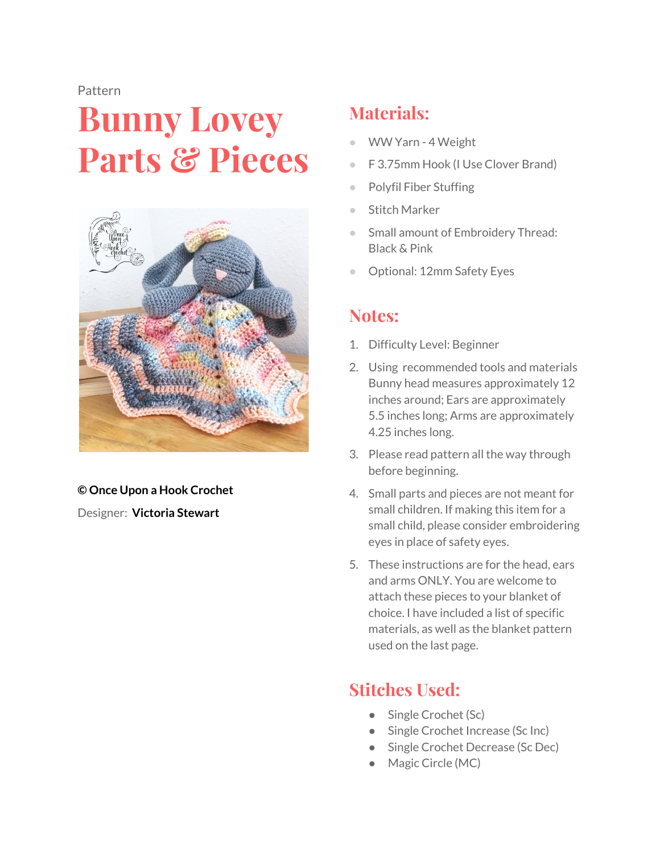#### Pattern

# **Bunny Lovey Parts & Pieces**



#### **© Once Upon a Hook Crochet** Designer: **Victoria Stewart**

### **Materials:**

- WW Yarn 4 Weight
- F 3.75mm Hook (I Use Clover Brand)
- Polyfil Fiber Stuffing
- **Stitch Marker**
- Small amount of Embroidery Thread: Black & Pink
- Optional: 12mm Safety Eyes

#### **Notes:**

- 1. Difficulty Level: Beginner
- 2. Using recommended tools and materials Bunny head measures approximately 12 inches around; Ears are approximately 5.5 inches long; Arms are approximately 4.25 inches long.
- 3. Please read pattern all the way through before beginning.
- 4. Small parts and pieces are not meant for small children. If making this item for a small child, please consider embroidering eyes in place of safety eyes.
- 5. These instructions are for the head, ears and arms ONLY. You are welcome to attach these pieces to your blanket of choice. I have included a list of specific materials, as well as the blanket pattern used on the last page.

# **Stitches Used:**

- Single Crochet (Sc)
- Single Crochet Increase (Sc Inc)
- Single Crochet Decrease (Sc Dec)
- Magic Circle (MC)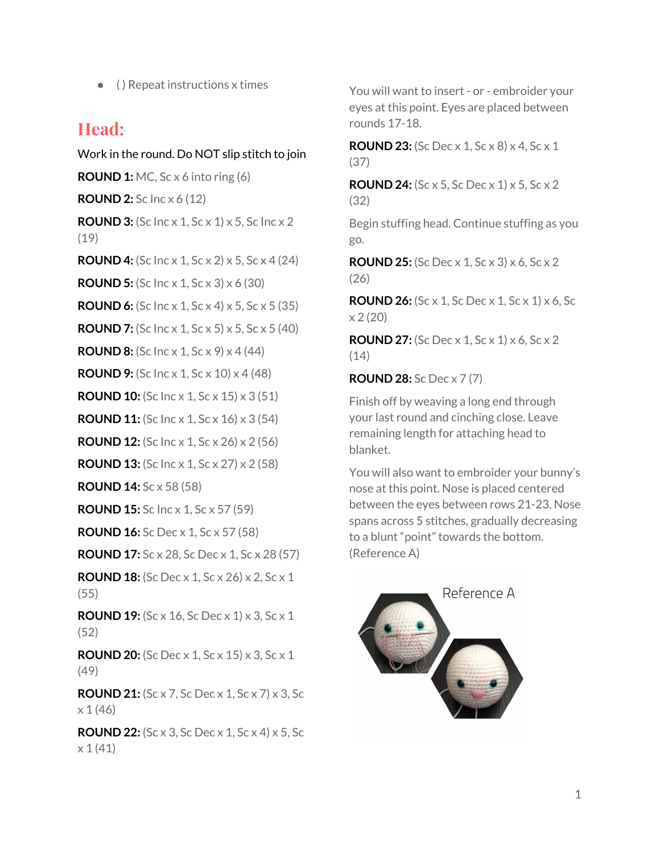$\bullet$  ( ) Repeat instructions x times

#### **Head:**

Work in the round. Do NOT slip stitch to join **ROUND 1:** MC, Sc x 6 into ring (6) **ROUND 2:** Sc Inc x 6 (12) **ROUND 3:** (Sc Inc x 1, Sc x 1) x 5, Sc Inc x 2 (19) **ROUND 4:** (Sc Inc x 1, Sc x 2) x 5, Sc x 4 (24) **ROUND 5:** (Sc Inc x 1, Sc x 3) x 6 (30) **ROUND 6:** (Sc Inc x 1, Sc x 4) x 5, Sc x 5 (35) **ROUND 7:** (Sc Inc x 1, Sc x 5) x 5, Sc x 5 (40) **ROUND 8:** (Sc Inc x 1, Sc x 9) x 4 (44) **ROUND 9:** (Sc Inc x 1, Sc x 10) x 4 (48) **ROUND 10:** (Sc Inc x 1, Sc x 15) x 3 (51) **ROUND 11:** (Sc Inc x 1, Sc x 16) x 3 (54) **ROUND 12:** (Sc Inc x 1, Sc x 26) x 2 (56) **ROUND 13:** (Sc Inc x 1, Sc x 27) x 2 (58) **ROUND 14:** Sc x 58 (58) **ROUND 15:** Sc Inc x 1, Sc x 57 (59) **ROUND 16:** Sc Dec x 1, Sc x 57 (58) **ROUND 17:** Sc x 28, Sc Dec x 1, Sc x 28 (57) **ROUND 18:** (Sc Dec x 1, Sc x 26) x 2, Sc x 1 (55) **ROUND 19:** (Sc x 16, Sc Dec x 1) x 3, Sc x 1 (52) **ROUND 20:** (Sc Dec x 1, Sc x 15) x 3, Sc x 1 (49) **ROUND 21:** (Sc x 7, Sc Dec x 1, Sc x 7) x 3, Sc x 1 (46)

**ROUND 22:** (Sc x 3, Sc Dec x 1, Sc x 4) x 5, Sc x 1 (41)

You will want to insert - or - embroider your eyes at this point. Eyes are placed between rounds 17-18.

**ROUND 23:** (Sc Dec x 1, Sc x 8) x 4, Sc x 1 (37)

**ROUND 24:** (Sc x 5, Sc Dec x 1) x 5, Sc x 2 (32)

Begin stuffing head. Continue stuffing as you go.

**ROUND 25:** (Sc Dec x 1, Sc x 3) x 6, Sc x 2 (26)

**ROUND 26:** (Sc x 1, Sc Dec x 1, Sc x 1) x 6, Sc  $x 2 (20)$ 

**ROUND 27:** (Sc Dec x 1, Sc x 1) x 6, Sc x 2  $(14)$ 

**ROUND 28:** Sc Dec x 7 (7)

Finish off by weaving a long end through your last round and cinching close. Leave remaining length for attaching head to blanket.

You will also want to embroider your bunny's nose at this point. Nose is placed centered between the eyes between rows 21-23. Nose spans across 5 stitches, gradually decreasing to a blunt "point" towards the bottom. (Reference A)

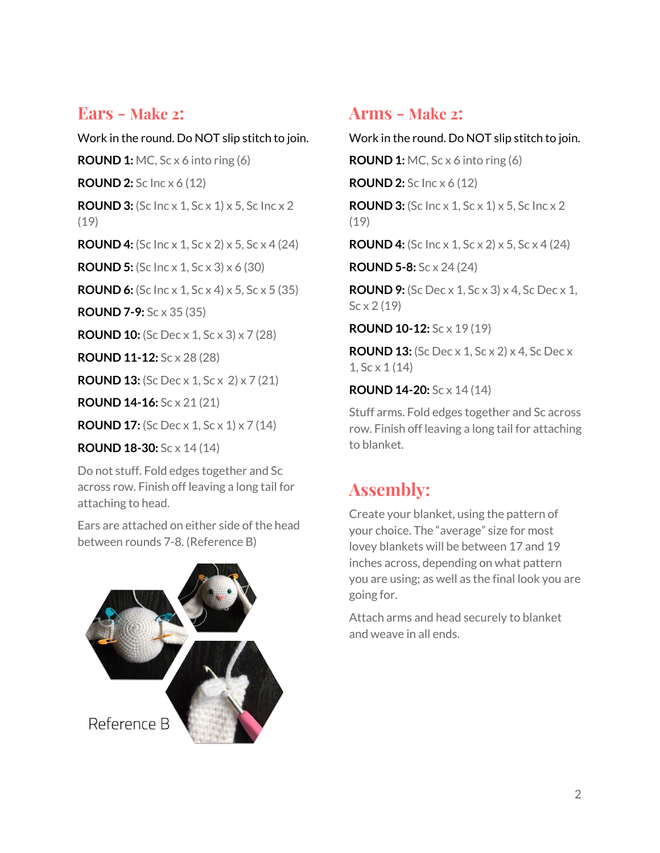#### **Ears - Make <sup>2</sup>:**

Work in the round. Do NOT slip stitch to join. **ROUND 1:** MC, Sc x 6 into ring (6) **ROUND 2:** Sc Inc x 6 (12) **ROUND 3:** (Sc Inc x 1, Sc x 1) x 5, Sc Inc x 2 (19) **ROUND 4:** (Sc Inc x 1, Sc x 2) x 5, Sc x 4 (24) **ROUND 5:** (Sc Inc x 1, Sc x 3) x 6 (30) **ROUND 6:** (Sc Inc x 1, Sc x 4) x 5, Sc x 5 (35) **ROUND 7-9:** Sc x 35 (35) **ROUND 10:** (Sc Dec x 1, Sc x 3) x 7 (28) **ROUND 11-12:** Sc x 28 (28) **ROUND 13:** (Sc Dec x 1, Sc x 2) x 7 (21) **ROUND 14-16:** Sc x 21 (21) **ROUND 17:** (Sc Dec x 1, Sc x 1) x 7 (14)

**ROUND 18-30:** Sc x 14 (14)

Do not stuff. Fold edges together and Sc across row. Finish off leaving a long tail for attaching to head.

Ears are attached on either side of the head between rounds 7-8. (Reference B)



#### **Arms - Make <sup>2</sup>:**

Work in the round. Do NOT slip stitch to join.

**ROUND 1:** MC, Sc x 6 into ring (6)

**ROUND 2:** Sc Inc x 6 (12)

**ROUND 3:** (Sc Inc x 1, Sc x 1) x 5, Sc Inc x 2 (19)

**ROUND 4:** (Sc Inc x 1, Sc x 2) x 5, Sc x 4 (24)

**ROUND 5-8:** Sc x 24 (24)

**ROUND 9:** (Sc Dec x 1, Sc x 3) x 4, Sc Dec x 1,  $Sc \times 2(19)$ 

**ROUND 10-12:** Sc x 19 (19)

**ROUND 13:** (Sc Dec x 1, Sc x 2) x 4, Sc Dec x 1, Sc x 1 (14)

**ROUND 14-20:** Sc x 14 (14)

Stuff arms. Fold edges together and Sc across row. Finish off leaving a long tail for attaching to blanket.

# **Assembly:**

Create your blanket, using the pattern of your choice. The "average" size for most lovey blankets will be between 17 and 19 inches across, depending on what pattern you are using; as well as the final look you are going for.

Attach arms and head securely to blanket and weave in all ends.